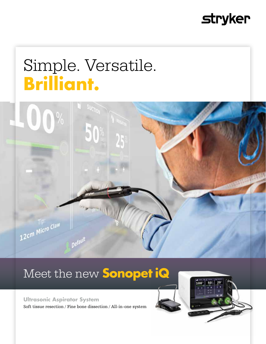## **stryker**

# Simple. Versatile. **Brilliant.**



### Meet the new **Sonopet iQ**

#### **Ultrasonic Aspirator System**

Soft tissue resection / Fine bone dissection / All-in-one system



100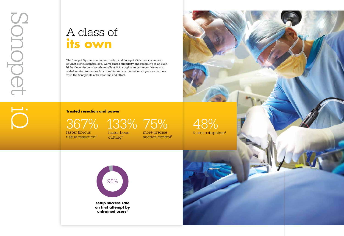faster fibrous tissue resection $1$ 

iQ

367%

faster bone cutting<sup>1</sup>





# A class of **its own**

48% faster setup time $1$ 

133% 75% more precise

The Sonopet System is a market leader, and Sonopet iQ delivers even more of what our customers love. We've raised simplicity and reliability to an even higher level for consistently excellent O.R. surgical experiences. We've also added semi-autonomous functionality and customisation so you can do more with the Sonopet iQ with less time and effort.

#### **Trusted resection and power**

suction control2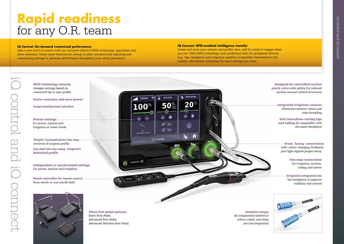# **Rapid readiness** for any O.R. team

#### **iQ Control: On-demand customised performance**

iQ control and iQ connect

control and iO connect

Gain a new level of control with our exclusive blend of RFID technology, algorithms and other elements. These smart features are always in play, automatically adjusting and customising settings to optimise performance throughout your entire procedure.

#### **iQ Connect: RFID-enabled intelligence transfer**

Create and store your custom user profile once, and it's ready to engage when you are. With RFID technology, your preference data for peripheral devices (e.g., tips, handpiece and irrigation cassette) is instantly transmitted to the console, effortlessly activating the exact settings you want.



Advanced Wireless Foot Pedal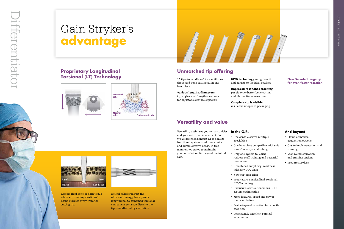# Gain Stryker's **advantage**

#### **And beyond**

- Flexible financial acquisition options
- Onsite implementation and training
- Year-round education and training options
- ProCare Services

#### **Proprietary Longitudinal Torsional (LT) Technology**







**RFID technology** recognises tip and adjusts to the ideal settings

Helical reliefs redirect the ultrasonic energy from purely longitudinal to combined torsional component so tissue distal to the tip is unaffected by cavitation.



### **Unmatched tip offering**

#### **New Serrated Large tip for even faster resection**

- 
- 
- 
- 
- 
- 

Improved resonance tracking per tip type (better bone cutting and fibrous tissue resection)

15 tips to handle soft tissue, fibrous tissue and bone cutting all in one handpiece

> Complete tip is visible inside the unopened packaging

#### **In the O.R.**

- One console serves multiple specialties
- One handpiece compatible with soft tissue/bone tips and tubing
- Only one system to learn; reduces staff training and potential user errors
- Unmatched simplicity; readiness with any O.R. team
- New customi sation
- Proprietary Longitudinal Torsional (LT) Technology
- Exclusive, semi-autonomous RFID system optimi sation
- More features, speed and power than ever before
- Fast setup and resection for smooth case flow
- Consistently excellent surgical experiences

Various lengths, diameters, tip styles and frangible sections for adjustable surface exposure

### **Versatility and value**

Versatility optimises your opportunities and your return on investment. So we've designed Sonopet iQ as a multifunctional system to address clinical and administrative needs. In this manner, we strive to maintain your satisfaction far beyond the initial sale.